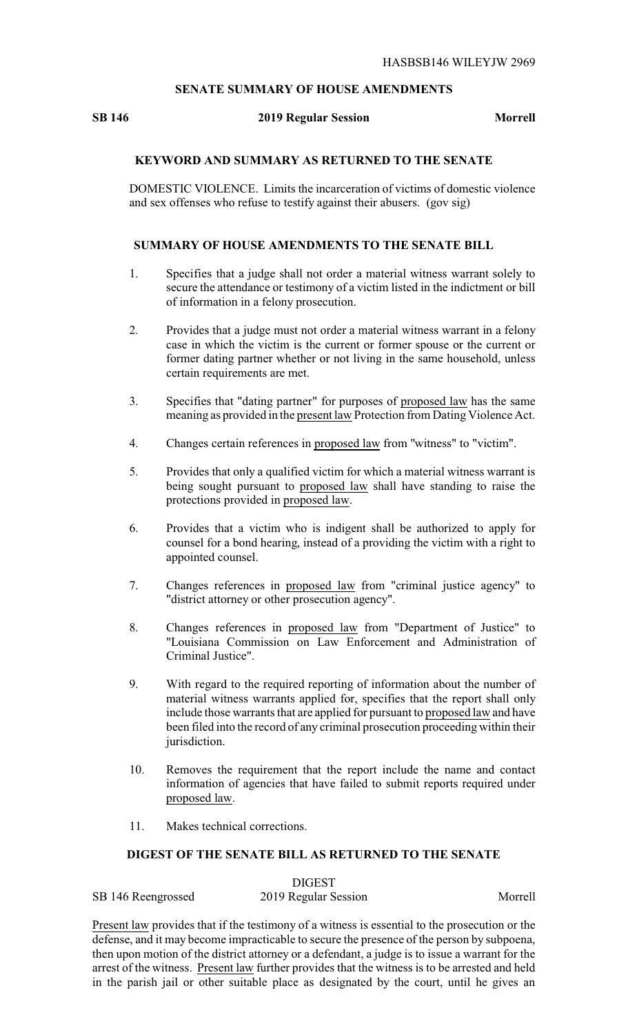### **SENATE SUMMARY OF HOUSE AMENDMENTS**

#### **SB 146 2019 Regular Session Morrell**

## **KEYWORD AND SUMMARY AS RETURNED TO THE SENATE**

DOMESTIC VIOLENCE. Limits the incarceration of victims of domestic violence and sex offenses who refuse to testify against their abusers. (gov sig)

#### **SUMMARY OF HOUSE AMENDMENTS TO THE SENATE BILL**

- 1. Specifies that a judge shall not order a material witness warrant solely to secure the attendance or testimony of a victim listed in the indictment or bill of information in a felony prosecution.
- 2. Provides that a judge must not order a material witness warrant in a felony case in which the victim is the current or former spouse or the current or former dating partner whether or not living in the same household, unless certain requirements are met.
- 3. Specifies that "dating partner" for purposes of proposed law has the same meaning as provided in the present law Protection from Dating Violence Act.
- 4. Changes certain references in proposed law from "witness" to "victim".
- 5. Provides that only a qualified victim for which a material witness warrant is being sought pursuant to proposed law shall have standing to raise the protections provided in proposed law.
- 6. Provides that a victim who is indigent shall be authorized to apply for counsel for a bond hearing, instead of a providing the victim with a right to appointed counsel.
- 7. Changes references in proposed law from "criminal justice agency" to "district attorney or other prosecution agency".
- 8. Changes references in proposed law from "Department of Justice" to "Louisiana Commission on Law Enforcement and Administration of Criminal Justice".
- 9. With regard to the required reporting of information about the number of material witness warrants applied for, specifies that the report shall only include those warrants that are applied for pursuant to proposed law and have been filed into the record of any criminal prosecution proceeding within their jurisdiction.
- 10. Removes the requirement that the report include the name and contact information of agencies that have failed to submit reports required under proposed law.
- 11. Makes technical corrections.

## **DIGEST OF THE SENATE BILL AS RETURNED TO THE SENATE**

DIGEST

| SB 146 Reengrossed | 2019 Regular Session | Morrell |
|--------------------|----------------------|---------|
|                    |                      |         |

Present law provides that if the testimony of a witness is essential to the prosecution or the defense, and it may become impracticable to secure the presence of the person by subpoena, then upon motion of the district attorney or a defendant, a judge is to issue a warrant for the arrest of the witness. Present law further provides that the witness is to be arrested and held in the parish jail or other suitable place as designated by the court, until he gives an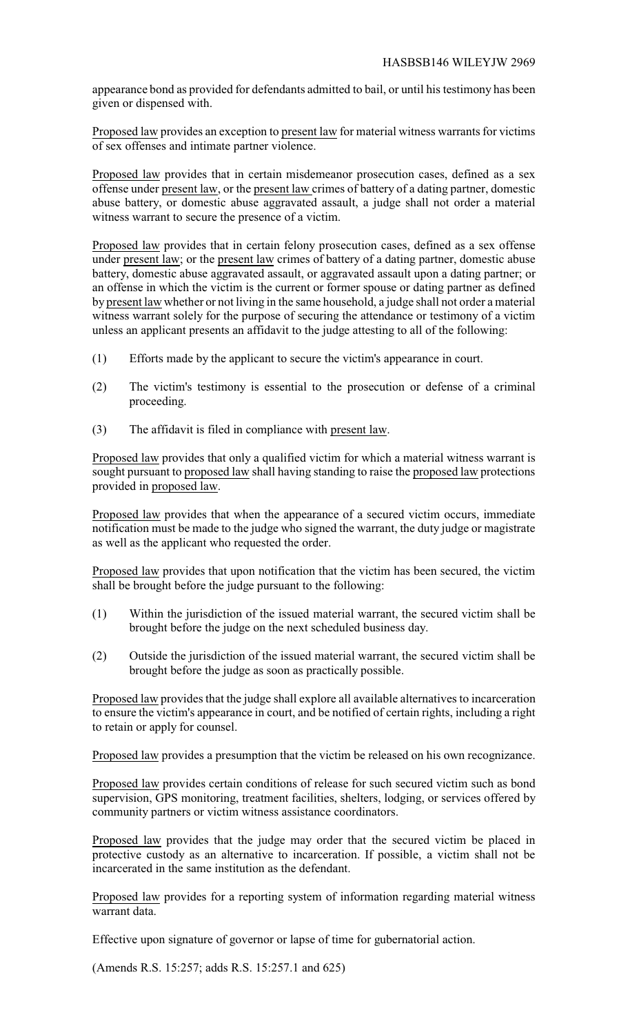appearance bond as provided for defendants admitted to bail, or until his testimony has been given or dispensed with.

Proposed law provides an exception to present law for material witness warrants for victims of sex offenses and intimate partner violence.

Proposed law provides that in certain misdemeanor prosecution cases, defined as a sex offense under present law, or the present law crimes of battery of a dating partner, domestic abuse battery, or domestic abuse aggravated assault, a judge shall not order a material witness warrant to secure the presence of a victim.

Proposed law provides that in certain felony prosecution cases, defined as a sex offense under present law; or the present law crimes of battery of a dating partner, domestic abuse battery, domestic abuse aggravated assault, or aggravated assault upon a dating partner; or an offense in which the victim is the current or former spouse or dating partner as defined by present law whether or not living in the same household, a judge shall not order a material witness warrant solely for the purpose of securing the attendance or testimony of a victim unless an applicant presents an affidavit to the judge attesting to all of the following:

- (1) Efforts made by the applicant to secure the victim's appearance in court.
- (2) The victim's testimony is essential to the prosecution or defense of a criminal proceeding.
- (3) The affidavit is filed in compliance with present law.

Proposed law provides that only a qualified victim for which a material witness warrant is sought pursuant to proposed law shall having standing to raise the proposed law protections provided in proposed law.

Proposed law provides that when the appearance of a secured victim occurs, immediate notification must be made to the judge who signed the warrant, the duty judge or magistrate as well as the applicant who requested the order.

Proposed law provides that upon notification that the victim has been secured, the victim shall be brought before the judge pursuant to the following:

- (1) Within the jurisdiction of the issued material warrant, the secured victim shall be brought before the judge on the next scheduled business day.
- (2) Outside the jurisdiction of the issued material warrant, the secured victim shall be brought before the judge as soon as practically possible.

Proposed law provides that the judge shall explore all available alternatives to incarceration to ensure the victim's appearance in court, and be notified of certain rights, including a right to retain or apply for counsel.

Proposed law provides a presumption that the victim be released on his own recognizance.

Proposed law provides certain conditions of release for such secured victim such as bond supervision, GPS monitoring, treatment facilities, shelters, lodging, or services offered by community partners or victim witness assistance coordinators.

Proposed law provides that the judge may order that the secured victim be placed in protective custody as an alternative to incarceration. If possible, a victim shall not be incarcerated in the same institution as the defendant.

Proposed law provides for a reporting system of information regarding material witness warrant data.

Effective upon signature of governor or lapse of time for gubernatorial action.

(Amends R.S. 15:257; adds R.S. 15:257.1 and 625)